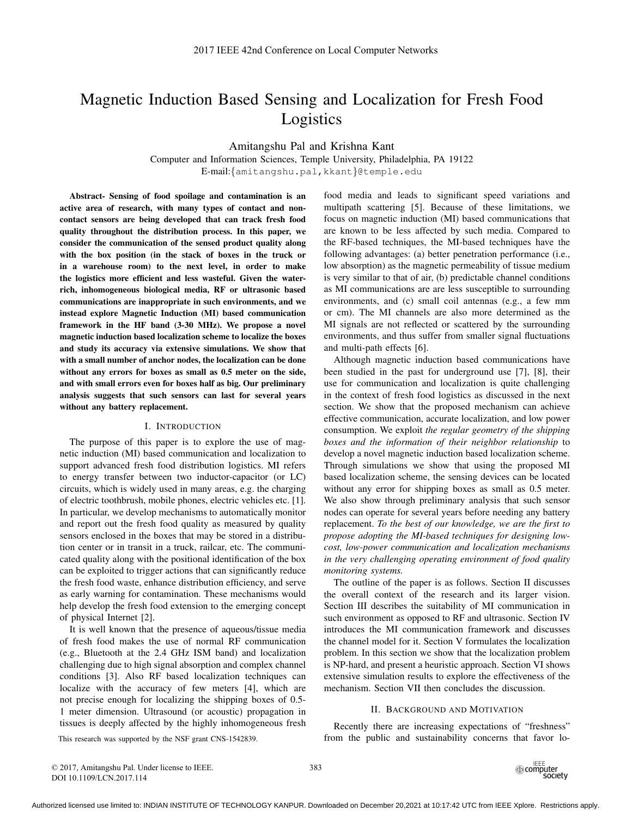# Magnetic Induction Based Sensing and Localization for Fresh Food Logistics

Amitangshu Pal and Krishna Kant

Computer and Information Sciences, Temple University, Philadelphia, PA 19122 E-mail:{amitangshu.pal,kkant}@temple.edu

Abstract- Sensing of food spoilage and contamination is an active area of research, with many types of contact and noncontact sensors are being developed that can track fresh food quality throughout the distribution process. In this paper, we consider the communication of the sensed product quality along with the box position (in the stack of boxes in the truck or in a warehouse room) to the next level, in order to make the logistics more efficient and less wasteful. Given the waterrich, inhomogeneous biological media, RF or ultrasonic based communications are inappropriate in such environments, and we instead explore Magnetic Induction (MI) based communication framework in the HF band (3-30 MHz). We propose a novel magnetic induction based localization scheme to localize the boxes and study its accuracy via extensive simulations. We show that with a small number of anchor nodes, the localization can be done without any errors for boxes as small as 0.5 meter on the side, and with small errors even for boxes half as big. Our preliminary analysis suggests that such sensors can last for several years without any battery replacement.

#### I. INTRODUCTION

The purpose of this paper is to explore the use of magnetic induction (MI) based communication and localization to support advanced fresh food distribution logistics. MI refers to energy transfer between two inductor-capacitor (or LC) circuits, which is widely used in many areas, e.g. the charging of electric toothbrush, mobile phones, electric vehicles etc. [1]. In particular, we develop mechanisms to automatically monitor and report out the fresh food quality as measured by quality sensors enclosed in the boxes that may be stored in a distribution center or in transit in a truck, railcar, etc. The communicated quality along with the positional identification of the box can be exploited to trigger actions that can significantly reduce the fresh food waste, enhance distribution efficiency, and serve as early warning for contamination. These mechanisms would help develop the fresh food extension to the emerging concept of physical Internet [2].

It is well known that the presence of aqueous/tissue media of fresh food makes the use of normal RF communication (e.g., Bluetooth at the 2.4 GHz ISM band) and localization challenging due to high signal absorption and complex channel conditions [3]. Also RF based localization techniques can localize with the accuracy of few meters [4], which are not precise enough for localizing the shipping boxes of 0.5- 1 meter dimension. Ultrasound (or acoustic) propagation in tissues is deeply affected by the highly inhomogeneous fresh food media and leads to significant speed variations and multipath scattering [5]. Because of these limitations, we focus on magnetic induction (MI) based communications that are known to be less affected by such media. Compared to the RF-based techniques, the MI-based techniques have the following advantages: (a) better penetration performance (i.e., low absorption) as the magnetic permeability of tissue medium is very similar to that of air, (b) predictable channel conditions as MI communications are are less susceptible to surrounding environments, and (c) small coil antennas (e.g., a few mm or cm). The MI channels are also more determined as the MI signals are not reflected or scattered by the surrounding environments, and thus suffer from smaller signal fluctuations and multi-path effects [6].

Although magnetic induction based communications have been studied in the past for underground use [7], [8], their use for communication and localization is quite challenging in the context of fresh food logistics as discussed in the next section. We show that the proposed mechanism can achieve effective communication, accurate localization, and low power consumption. We exploit *the regular geometry of the shipping boxes and the information of their neighbor relationship* to develop a novel magnetic induction based localization scheme. Through simulations we show that using the proposed MI based localization scheme, the sensing devices can be located without any error for shipping boxes as small as 0.5 meter. We also show through preliminary analysis that such sensor nodes can operate for several years before needing any battery replacement. *To the best of our knowledge, we are the first to propose adopting the MI-based techniques for designing lowcost, low-power communication and localization mechanisms in the very challenging operating environment of food quality monitoring systems.*

The outline of the paper is as follows. Section II discusses the overall context of the research and its larger vision. Section III describes the suitability of MI communication in such environment as opposed to RF and ultrasonic. Section IV introduces the MI communication framework and discusses the channel model for it. Section V formulates the localization problem. In this section we show that the localization problem is NP-hard, and present a heuristic approach. Section VI shows extensive simulation results to explore the effectiveness of the mechanism. Section VII then concludes the discussion.

# II. BACKGROUND AND MOTIVATION

Recently there are increasing expectations of "freshness" This research was supported by the NSF grant CNS-1542839. from the public and sustainability concerns that favor lo-

© 2017, Amitangshu Pal. Under license to IEEE. DOI 10.1109/LCN.2017.114

383

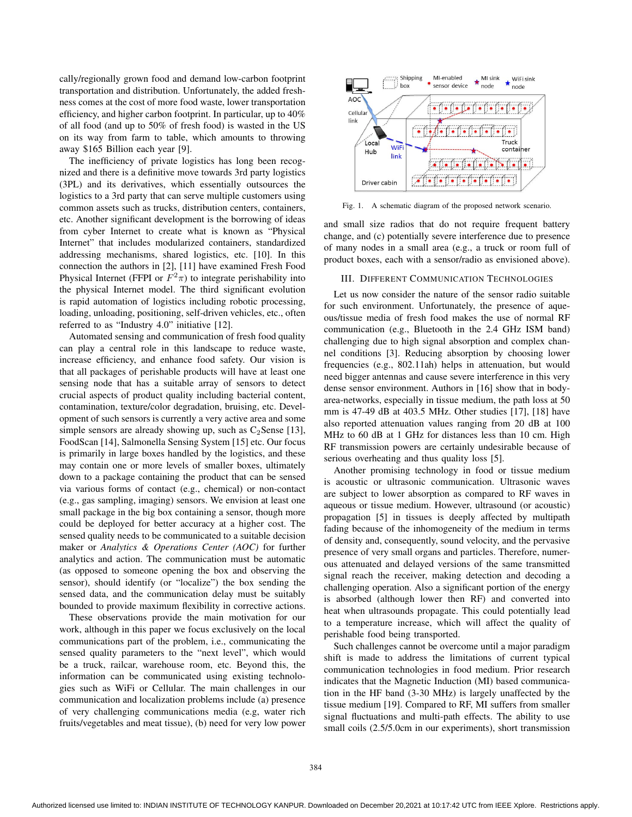cally/regionally grown food and demand low-carbon footprint transportation and distribution. Unfortunately, the added freshness comes at the cost of more food waste, lower transportation efficiency, and higher carbon footprint. In particular, up to 40% of all food (and up to 50% of fresh food) is wasted in the US on its way from farm to table, which amounts to throwing away \$165 Billion each year [9].

The inefficiency of private logistics has long been recognized and there is a definitive move towards 3rd party logistics (3PL) and its derivatives, which essentially outsources the logistics to a 3rd party that can serve multiple customers using common assets such as trucks, distribution centers, containers, etc. Another significant development is the borrowing of ideas from cyber Internet to create what is known as "Physical Internet" that includes modularized containers, standardized addressing mechanisms, shared logistics, etc. [10]. In this connection the authors in [2], [11] have examined Fresh Food Physical Internet (FFPI or  $F^2\pi$ ) to integrate perishability into the physical Internet model. The third significant evolution is rapid automation of logistics including robotic processing, loading, unloading, positioning, self-driven vehicles, etc., often referred to as "Industry 4.0" initiative [12].

Automated sensing and communication of fresh food quality can play a central role in this landscape to reduce waste, increase efficiency, and enhance food safety. Our vision is that all packages of perishable products will have at least one sensing node that has a suitable array of sensors to detect crucial aspects of product quality including bacterial content, contamination, texture/color degradation, bruising, etc. Development of such sensors is currently a very active area and some simple sensors are already showing up, such as  $C_2$ Sense [13], FoodScan [14], Salmonella Sensing System [15] etc. Our focus is primarily in large boxes handled by the logistics, and these may contain one or more levels of smaller boxes, ultimately down to a package containing the product that can be sensed via various forms of contact (e.g., chemical) or non-contact (e.g., gas sampling, imaging) sensors. We envision at least one small package in the big box containing a sensor, though more could be deployed for better accuracy at a higher cost. The sensed quality needs to be communicated to a suitable decision maker or *Analytics & Operations Center (AOC)* for further analytics and action. The communication must be automatic (as opposed to someone opening the box and observing the sensor), should identify (or "localize") the box sending the sensed data, and the communication delay must be suitably bounded to provide maximum flexibility in corrective actions.

These observations provide the main motivation for our work, although in this paper we focus exclusively on the local communications part of the problem, i.e., communicating the sensed quality parameters to the "next level", which would be a truck, railcar, warehouse room, etc. Beyond this, the information can be communicated using existing technologies such as WiFi or Cellular. The main challenges in our communication and localization problems include (a) presence of very challenging communications media (e.g, water rich fruits/vegetables and meat tissue), (b) need for very low power



Fig. 1. A schematic diagram of the proposed network scenario.

and small size radios that do not require frequent battery change, and (c) potentially severe interference due to presence of many nodes in a small area (e.g., a truck or room full of product boxes, each with a sensor/radio as envisioned above).

### III. DIFFERENT COMMUNICATION TECHNOLOGIES

Let us now consider the nature of the sensor radio suitable for such environment. Unfortunately, the presence of aqueous/tissue media of fresh food makes the use of normal RF communication (e.g., Bluetooth in the 2.4 GHz ISM band) challenging due to high signal absorption and complex channel conditions [3]. Reducing absorption by choosing lower frequencies (e.g., 802.11ah) helps in attenuation, but would need bigger antennas and cause severe interference in this very dense sensor environment. Authors in [16] show that in bodyarea-networks, especially in tissue medium, the path loss at 50 mm is 47-49 dB at 403.5 MHz. Other studies [17], [18] have also reported attenuation values ranging from 20 dB at 100 MHz to 60 dB at 1 GHz for distances less than 10 cm. High RF transmission powers are certainly undesirable because of serious overheating and thus quality loss [5].

Another promising technology in food or tissue medium is acoustic or ultrasonic communication. Ultrasonic waves are subject to lower absorption as compared to RF waves in aqueous or tissue medium. However, ultrasound (or acoustic) propagation [5] in tissues is deeply affected by multipath fading because of the inhomogeneity of the medium in terms of density and, consequently, sound velocity, and the pervasive presence of very small organs and particles. Therefore, numerous attenuated and delayed versions of the same transmitted signal reach the receiver, making detection and decoding a challenging operation. Also a significant portion of the energy is absorbed (although lower then RF) and converted into heat when ultrasounds propagate. This could potentially lead to a temperature increase, which will affect the quality of perishable food being transported.

Such challenges cannot be overcome until a major paradigm shift is made to address the limitations of current typical communication technologies in food medium. Prior research indicates that the Magnetic Induction (MI) based communication in the HF band (3-30 MHz) is largely unaffected by the tissue medium [19]. Compared to RF, MI suffers from smaller signal fluctuations and multi-path effects. The ability to use small coils (2.5/5.0cm in our experiments), short transmission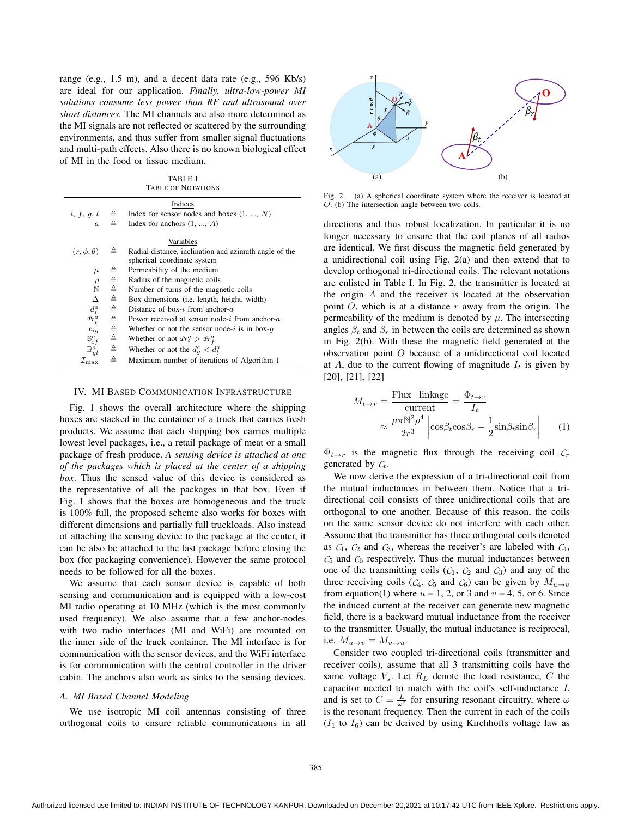range (e.g., 1.5 m), and a decent data rate (e.g., 596 Kb/s) are ideal for our application. *Finally, ultra-low-power MI solutions consume less power than RF and ultrasound over short distances.* The MI channels are also more determined as the MI signals are not reflected or scattered by the surrounding environments, and thus suffer from smaller signal fluctuations and multi-path effects. Also there is no known biological effect of MI in the food or tissue medium.

TABLE I TABLE OF NOTATIONS

| i, f, q, l            | $\triangleq$   | Indices<br>Index for sensor nodes and boxes $(1, , N)$ |
|-----------------------|----------------|--------------------------------------------------------|
|                       |                |                                                        |
|                       | $a \triangleq$ | Index for anchors $(1, , A)$                           |
|                       |                | Variables                                              |
| $(r, \phi, \theta)$   | ≜              | Radial distance, inclination and azimuth angle of the  |
|                       |                | spherical coordinate system                            |
| $\mu$                 | ≜              | Permeability of the medium                             |
| $\rho$                | ≜              | Radius of the magnetic coils                           |
| N                     | $\triangleq$   | Number of turns of the magnetic coils                  |
| Δ                     | $\hat{=}$      | Box dimensions (i.e. length, height, width)            |
| $d_i^a$               | $\triangleq$   | Distance of box-i from anchor- $a$                     |
| $\mathit{Pr}^{a}_{i}$ | $\triangleq$   | Power received at sensor node-i from anchor- $a$       |
| $x_{iq}$              | $\triangleq$   | Whether or not the sensor node-i is in box-q           |
| $\mathbb{S}^a_{if}$   | ≜              | Whether or not $Pr_i^a > Pr_f^a$                       |
| $\mathbb{B}_{gl}^a$   | $\triangleq$   | Whether or not the $d_a^a < d_l^a$                     |
| $\mathcal{I}_{\max}$  | ≜              | Maximum number of iterations of Algorithm 1            |

## IV. MI BASED COMMUNICATION INFRASTRUCTURE

Fig. 1 shows the overall architecture where the shipping boxes are stacked in the container of a truck that carries fresh products. We assume that each shipping box carries multiple lowest level packages, i.e., a retail package of meat or a small package of fresh produce. *A sensing device is attached at one of the packages which is placed at the center of a shipping box*. Thus the sensed value of this device is considered as the representative of all the packages in that box. Even if Fig. 1 shows that the boxes are homogeneous and the truck is 100% full, the proposed scheme also works for boxes with different dimensions and partially full truckloads. Also instead of attaching the sensing device to the package at the center, it can be also be attached to the last package before closing the box (for packaging convenience). However the same protocol needs to be followed for all the boxes.

We assume that each sensor device is capable of both sensing and communication and is equipped with a low-cost MI radio operating at 10 MHz (which is the most commonly used frequency). We also assume that a few anchor-nodes with two radio interfaces (MI and WiFi) are mounted on the inner side of the truck container. The MI interface is for communication with the sensor devices, and the WiFi interface is for communication with the central controller in the driver cabin. The anchors also work as sinks to the sensing devices.

#### *A. MI Based Channel Modeling*

We use isotropic MI coil antennas consisting of three orthogonal coils to ensure reliable communications in all



Fig. 2. (a) A spherical coordinate system where the receiver is located at *O*. (b) The intersection angle between two coils.

directions and thus robust localization. In particular it is no longer necessary to ensure that the coil planes of all radios are identical. We first discuss the magnetic field generated by a unidirectional coil using Fig. 2(a) and then extend that to develop orthogonal tri-directional coils. The relevant notations are enlisted in Table I. In Fig. 2, the transmitter is located at the origin A and the receiver is located at the observation point  $O$ , which is at a distance  $r$  away from the origin. The permeability of the medium is denoted by  $\mu$ . The intersecting angles  $\beta_t$  and  $\beta_r$  in between the coils are determined as shown in Fig. 2(b). With these the magnetic field generated at the observation point O because of a unidirectional coil located at A, due to the current flowing of magnitude  $I_t$  is given by [20], [21], [22]

$$
M_{t\to r} = \frac{\text{Flux} - \text{linkage}}{\text{current}} = \frac{\Phi_{t\to r}}{I_t}
$$

$$
\approx \frac{\mu \pi \mathbb{N}^2 \rho^4}{2r^3} \left| \cos \beta_t \cos \beta_r - \frac{1}{2} \sin \beta_t \sin \beta_r \right| \tag{1}
$$

 $\Phi_{t\rightarrow r}$  is the magnetic flux through the receiving coil  $C_r$ generated by  $C_t$ .

We now derive the expression of a tri-directional coil from the mutual inductances in between them. Notice that a tridirectional coil consists of three unidirectional coils that are orthogonal to one another. Because of this reason, the coils on the same sensor device do not interfere with each other. Assume that the transmitter has three orthogonal coils denoted as  $C_1$ ,  $C_2$  and  $C_3$ , whereas the receiver's are labeled with  $C_4$ ,  $C_5$  and  $C_6$  respectively. Thus the mutual inductances between one of the transmitting coils  $(C_1, C_2 \text{ and } C_3)$  and any of the three receiving coils ( $C_4$ ,  $C_5$  and  $C_6$ ) can be given by  $M_{u\to v}$ from equation(1) where  $u = 1, 2$ , or 3 and  $v = 4, 5$ , or 6. Since the induced current at the receiver can generate new magnetic field, there is a backward mutual inductance from the receiver to the transmitter. Usually, the mutual inductance is reciprocal, i.e.  $M_{u\to v} = M_{v\to u}$ .

Consider two coupled tri-directional coils (transmitter and receiver coils), assume that all 3 transmitting coils have the same voltage  $V_s$ . Let  $R_L$  denote the load resistance,  $C$  the capacitor needed to match with the coil's self-inductance L and is set to  $C = \frac{L}{\omega^2}$  for ensuring resonant circuitry, where  $\omega$  is the resonant frequency. Then the current in each of the coils is the resonant frequency. Then the current in each of the coils  $(I_1$  to  $I_6$ ) can be derived by using Kirchhoffs voltage law as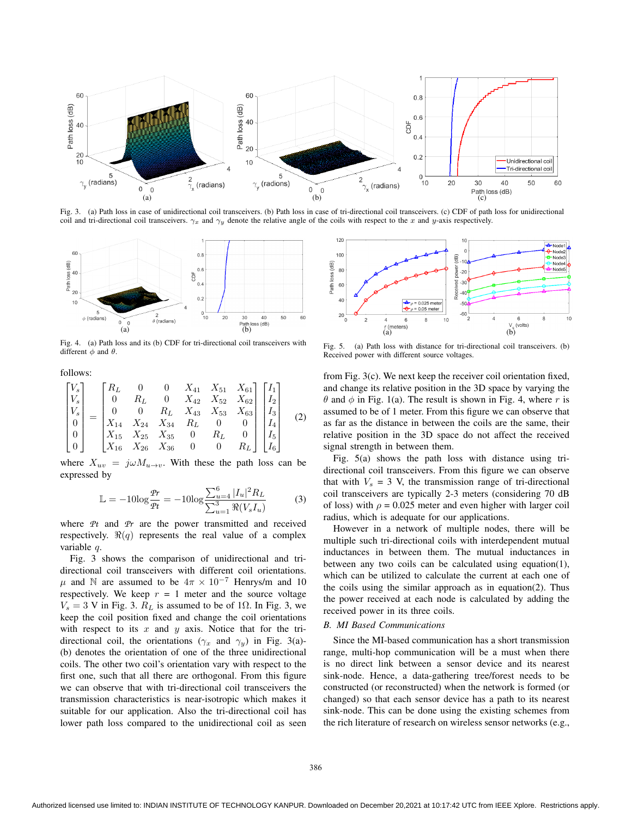

Fig. 3. (a) Path loss in case of unidirectional coil transceivers. (b) Path loss in case of tri-directional coil transceivers. (c) CDF of path loss for unidirectional coil and tri-directional coil transceivers.  $\gamma_x$  and  $\gamma_y$  denote the relative angle of the coils with respect to the *x* and *y*-axis respectively.



Fig. 4. (a) Path loss and its (b) CDF for tri-directional coil transceivers with different *φ* and *θ*.

follows:

$$
\begin{bmatrix}\nV_s \\
V_s \\
V_s \\
0 \\
0 \\
0 \\
0\n\end{bmatrix} = \begin{bmatrix}\nR_L & 0 & 0 & X_{41} & X_{51} & X_{61} \\
0 & R_L & 0 & X_{42} & X_{52} & X_{62} \\
0 & 0 & R_L & X_{43} & X_{53} & X_{63} \\
X_{14} & X_{24} & X_{34} & R_L & 0 & 0 \\
X_{15} & X_{25} & X_{35} & 0 & R_L & 0 \\
X_{16} & X_{26} & X_{36} & 0 & 0 & R_L\n\end{bmatrix} \begin{bmatrix}\nI_1 \\
I_2 \\
I_3 \\
I_4 \\
I_5 \\
I_6\n\end{bmatrix}
$$
\n(2)

where  $X_{uv} = j\omega M_{u\to v}$ . With these the path loss can be expressed by expressed by

$$
\mathbb{L} = -10\log \frac{\mathcal{P}r}{\mathcal{P}t} = -10\log \frac{\sum_{u=4}^{6} |I_u|^2 R_L}{\sum_{u=1}^{3} \Re(V_s I_u)}
$$
(3)

where *Pt* and *Pr* are the power transmitted and received respectively.  $\Re(q)$  represents the real value of a complex variable q.

Fig. 3 shows the comparison of unidirectional and tridirectional coil transceivers with different coil orientations.  $\mu$  and N are assumed to be  $4\pi \times 10^{-7}$  Henrys/m and 10 respectively. We keep  $r = 1$  meter and the source voltage  $V_s = 3$  V in Fig. 3.  $R_L$  is assumed to be of 1 $\Omega$ . In Fig. 3, we keep the coil position fixed and change the coil orientations with respect to its  $x$  and  $y$  axis. Notice that for the tridirectional coil, the orientations ( $\gamma_x$  and  $\gamma_y$ ) in Fig. 3(a)-(b) denotes the orientation of one of the three unidirectional coils. The other two coil's orientation vary with respect to the first one, such that all there are orthogonal. From this figure we can observe that with tri-directional coil transceivers the transmission characteristics is near-isotropic which makes it suitable for our application. Also the tri-directional coil has lower path loss compared to the unidirectional coil as seen



Fig. 5. (a) Path loss with distance for tri-directional coil transceivers. (b) Received power with different source voltages.

from Fig. 3(c). We next keep the receiver coil orientation fixed, and change its relative position in the 3D space by varying the  $\theta$  and  $\phi$  in Fig. 1(a). The result is shown in Fig. 4, where r is assumed to be of 1 meter. From this figure we can observe that as far as the distance in between the coils are the same, their relative position in the 3D space do not affect the received signal strength in between them.

Fig. 5(a) shows the path loss with distance using tridirectional coil transceivers. From this figure we can observe that with  $V_s = 3$  V, the transmission range of tri-directional coil transceivers are typically 2-3 meters (considering 70 dB of loss) with  $\rho = 0.025$  meter and even higher with larger coil radius, which is adequate for our applications.

However in a network of multiple nodes, there will be multiple such tri-directional coils with interdependent mutual inductances in between them. The mutual inductances in between any two coils can be calculated using equation(1), which can be utilized to calculate the current at each one of the coils using the similar approach as in equation(2). Thus the power received at each node is calculated by adding the received power in its three coils.

## *B. MI Based Communications*

Since the MI-based communication has a short transmission range, multi-hop communication will be a must when there is no direct link between a sensor device and its nearest sink-node. Hence, a data-gathering tree/forest needs to be constructed (or reconstructed) when the network is formed (or changed) so that each sensor device has a path to its nearest sink-node. This can be done using the existing schemes from the rich literature of research on wireless sensor networks (e.g.,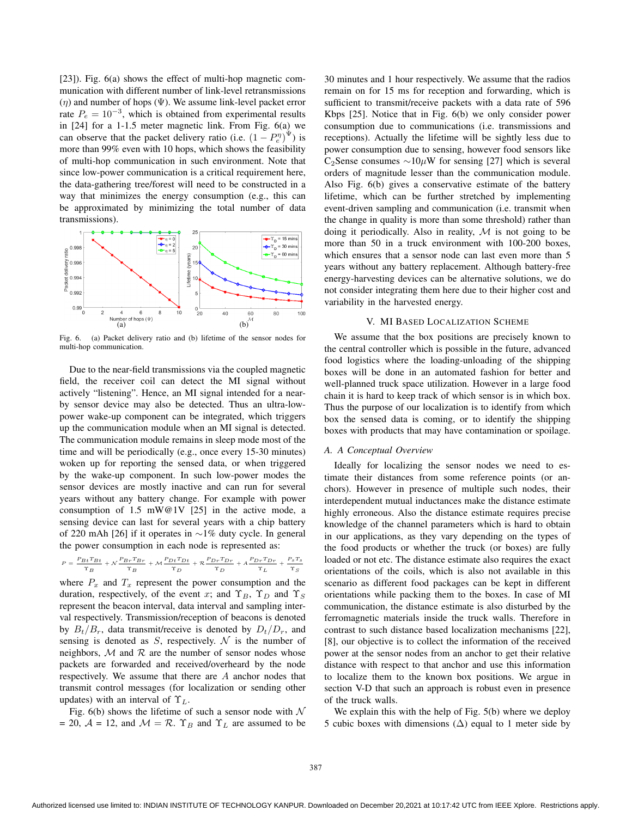[23]). Fig. 6(a) shows the effect of multi-hop magnetic communication with different number of link-level retransmissions  $(\eta)$  and number of hops ( $\Psi$ ). We assume link-level packet error rate  $P_e = 10^{-3}$ , which is obtained from experimental results in [24] for a 1-1.5 meter magnetic link. From Fig. 6(a) we can observe that the packet delivery ratio (i.e.  $(1 - P_n^{\eta})^{\Psi}$ ) is<br>more than 99% even with 10 bons, which shows the feasibility more than 99% even with 10 hops, which shows the feasibility of multi-hop communication in such environment. Note that since low-power communication is a critical requirement here, the data-gathering tree/forest will need to be constructed in a way that minimizes the energy consumption (e.g., this can be approximated by minimizing the total number of data transmissions).



Fig. 6. (a) Packet delivery ratio and (b) lifetime of the sensor nodes for multi-hop communication.

Due to the near-field transmissions via the coupled magnetic field, the receiver coil can detect the MI signal without actively "listening". Hence, an MI signal intended for a nearby sensor device may also be detected. Thus an ultra-lowpower wake-up component can be integrated, which triggers up the communication module when an MI signal is detected. The communication module remains in sleep mode most of the time and will be periodically (e.g., once every 15-30 minutes) woken up for reporting the sensed data, or when triggered by the wake-up component. In such low-power modes the sensor devices are mostly inactive and can run for several years without any battery change. For example with power consumption of 1.5 mW@1V [25] in the active mode, a sensing device can last for several years with a chip battery of 220 mAh [26] if it operates in ∼1% duty cycle. In general the power consumption in each node is represented as:

$$
P = \frac{P_{Bt} T_{Bt}}{\Upsilon_B} + N \frac{P_{Br} T_{Br}}{\Upsilon_B} + M \frac{P_{Dt} T_{Dt}}{\Upsilon_D} + \mathcal{R} \frac{P_{Dr} T_{Dr}}{\Upsilon_D} + A \frac{P_{Dr} T_{Dr}}{\Upsilon_L} + \frac{P_s T_s}{\Upsilon_S}
$$

where  $P_x$  and  $T_x$  represent the power consumption and the duration, respectively, of the event x; and  $\Upsilon_B$ ,  $\Upsilon_D$  and  $\Upsilon_S$ represent the beacon interval, data interval and sampling interval respectively. Transmission/reception of beacons is denoted by  $B_t/B_r$ , data transmit/receive is denoted by  $D_t/D_r$ , and sensing is denoted as  $S$ , respectively.  $\mathcal N$  is the number of neighbors,  $M$  and  $R$  are the number of sensor nodes whose packets are forwarded and received/overheard by the node respectively. We assume that there are A anchor nodes that transmit control messages (for localization or sending other updates) with an interval of  $\Upsilon_L$ .

Fig. 6(b) shows the lifetime of such a sensor node with  $N$ = 20,  $A = 12$ , and  $M = R$ .  $\Upsilon_B$  and  $\Upsilon_L$  are assumed to be 30 minutes and 1 hour respectively. We assume that the radios remain on for 15 ms for reception and forwarding, which is sufficient to transmit/receive packets with a data rate of 596 Kbps [25]. Notice that in Fig. 6(b) we only consider power consumption due to communications (i.e. transmissions and receptions). Actually the lifetime will be sightly less due to power consumption due to sensing, however food sensors like C<sub>2</sub>Sense consumes  $\sim$ 10µW for sensing [27] which is several orders of magnitude lesser than the communication module. Also Fig. 6(b) gives a conservative estimate of the battery lifetime, which can be further stretched by implementing event-driven sampling and communication (i.e. transmit when the change in quality is more than some threshold) rather than doing it periodically. Also in reality,  $M$  is not going to be more than 50 in a truck environment with 100-200 boxes, which ensures that a sensor node can last even more than 5 years without any battery replacement. Although battery-free energy-harvesting devices can be alternative solutions, we do not consider integrating them here due to their higher cost and variability in the harvested energy.

## V. MI BASED LOCALIZATION SCHEME

We assume that the box positions are precisely known to the central controller which is possible in the future, advanced food logistics where the loading-unloading of the shipping boxes will be done in an automated fashion for better and well-planned truck space utilization. However in a large food chain it is hard to keep track of which sensor is in which box. Thus the purpose of our localization is to identify from which box the sensed data is coming, or to identify the shipping boxes with products that may have contamination or spoilage.

## *A. A Conceptual Overview*

Ideally for localizing the sensor nodes we need to estimate their distances from some reference points (or anchors). However in presence of multiple such nodes, their interdependent mutual inductances make the distance estimate highly erroneous. Also the distance estimate requires precise knowledge of the channel parameters which is hard to obtain in our applications, as they vary depending on the types of the food products or whether the truck (or boxes) are fully loaded or not etc. The distance estimate also requires the exact orientations of the coils, which is also not available in this scenario as different food packages can be kept in different orientations while packing them to the boxes. In case of MI communication, the distance estimate is also disturbed by the ferromagnetic materials inside the truck walls. Therefore in contrast to such distance based localization mechanisms [22], [8], our objective is to collect the information of the received power at the sensor nodes from an anchor to get their relative distance with respect to that anchor and use this information to localize them to the known box positions. We argue in section V-D that such an approach is robust even in presence of the truck walls.

We explain this with the help of Fig. 5(b) where we deploy 5 cubic boxes with dimensions  $(\Delta)$  equal to 1 meter side by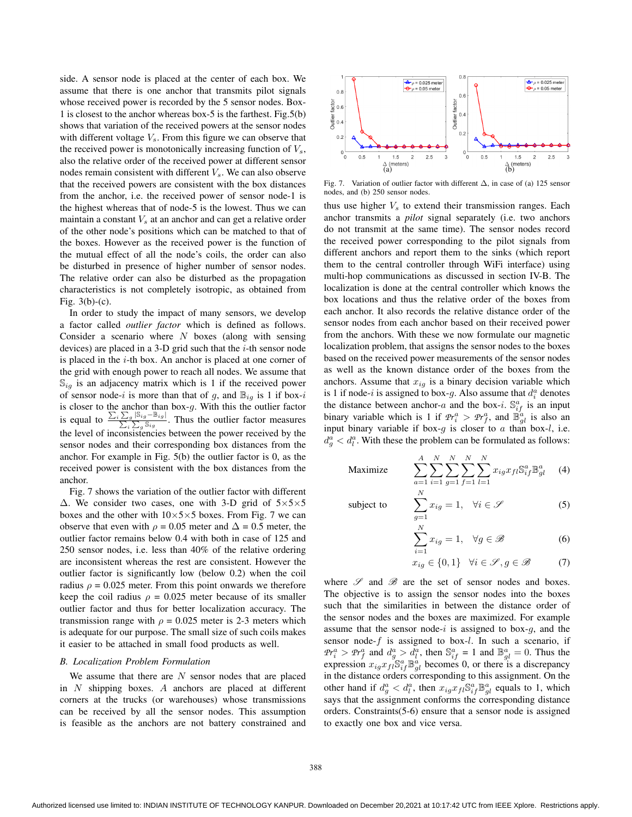side. A sensor node is placed at the center of each box. We assume that there is one anchor that transmits pilot signals whose received power is recorded by the 5 sensor nodes. Box-1 is closest to the anchor whereas box-5 is the farthest. Fig.5(b) shows that variation of the received powers at the sensor nodes with different voltage  $V_s$ . From this figure we can observe that the received power is monotonically increasing function of  $V_s$ , also the relative order of the received power at different sensor nodes remain consistent with different  $V_s$ . We can also observe that the received powers are consistent with the box distances from the anchor, i.e. the received power of sensor node-1 is the highest whereas that of node-5 is the lowest. Thus we can maintain a constant  $V<sub>s</sub>$  at an anchor and can get a relative order of the other node's positions which can be matched to that of the boxes. However as the received power is the function of the mutual effect of all the node's coils, the order can also be disturbed in presence of higher number of sensor nodes. The relative order can also be disturbed as the propagation characteristics is not completely isotropic, as obtained from Fig. 3(b)-(c).

In order to study the impact of many sensors, we develop a factor called *outlier factor* which is defined as follows. Consider a scenario where  $N$  boxes (along with sensing devices) are placed in a 3-D grid such that the  $i$ -th sensor node is placed in the  $i$ -th box. An anchor is placed at one corner of the grid with enough power to reach all nodes. We assume that  $\mathbb{S}_{ig}$  is an adjacency matrix which is 1 if the received power of sensor node-i is more than that of g, and  $\mathbb{B}_{ig}$  is 1 if box-i is closer to the anchor than box-g. With this the outlier factor is equal to  $\frac{\sum_i \sum_g |S_{ig} - B_{ig}|}{\sum_i \sum_g S_{ig}}$ . Thus the outlier factor measures the level of inconsistencies between the power received by the sensor nodes and their corresponding box distances from the anchor. For example in Fig. 5(b) the outlier factor is 0, as the received power is consistent with the box distances from the anchor.

Fig. 7 shows the variation of the outlier factor with different  $\Delta$ . We consider two cases, one with 3-D grid of  $5 \times 5 \times 5$ boxes and the other with  $10\times5\times5$  boxes. From Fig. 7 we can observe that even with  $\rho = 0.05$  meter and  $\Delta = 0.5$  meter, the outlier factor remains below 0.4 with both in case of 125 and 250 sensor nodes, i.e. less than 40% of the relative ordering are inconsistent whereas the rest are consistent. However the outlier factor is significantly low (below 0.2) when the coil radius  $\rho = 0.025$  meter. From this point onwards we therefore keep the coil radius  $\rho = 0.025$  meter because of its smaller outlier factor and thus for better localization accuracy. The transmission range with  $\rho = 0.025$  meter is 2-3 meters which is adequate for our purpose. The small size of such coils makes it easier to be attached in small food products as well.

#### *B. Localization Problem Formulation*

We assume that there are  $N$  sensor nodes that are placed in  $N$  shipping boxes.  $A$  anchors are placed at different corners at the trucks (or warehouses) whose transmissions can be received by all the sensor nodes. This assumption is feasible as the anchors are not battery constrained and



Fig. 7. Variation of outlier factor with different  $\Delta$ , in case of (a) 125 sensor nodes, and (b) 250 sensor nodes.

thus use higher  $V<sub>s</sub>$  to extend their transmission ranges. Each anchor transmits a *pilot* signal separately (i.e. two anchors do not transmit at the same time). The sensor nodes record the received power corresponding to the pilot signals from different anchors and report them to the sinks (which report them to the central controller through WiFi interface) using multi-hop communications as discussed in section IV-B. The localization is done at the central controller which knows the box locations and thus the relative order of the boxes from each anchor. It also records the relative distance order of the sensor nodes from each anchor based on their received power from the anchors. With these we now formulate our magnetic localization problem, that assigns the sensor nodes to the boxes based on the received power measurements of the sensor nodes as well as the known distance order of the boxes from the anchors. Assume that  $x_{iq}$  is a binary decision variable which is 1 if node-*i* is assigned to box-*g*. Also assume that  $d_i^a$  denotes the distance between anchor-*g* and the box-*i*.  $\mathbb{S}^a$  is an input the distance between anchor-a and the box-i.  $\mathbb{S}_{i}^a$  is an input<br>binary variable which is 1 if  $\varphi_r^a \sim \varphi_r^a$  and  $\mathbb{R}^a$  is also an binary variable which is 1 if  $\mathcal{P}r_i^a > \mathcal{P}r_f^a$ , and  $\mathbb{B}_{gl}^a$  is also an input binary variable if box-*a* is closer to *a* than box-*l* i.e. input binary variable if box- $g$  is closer to  $a$  than box- $l$ , i.e.  $d_g^a < d_l^a$ . With these the problem can be formulated as follows:

$$
\begin{array}{ll}\n\text{Maximize} & \sum_{a=1}^{A} \sum_{i=1}^{N} \sum_{g=1}^{N} \sum_{f=1}^{N} \sum_{l=1}^{N} x_{ig} x_{fl} \mathbb{S}^a_{if} \mathbb{B}^a_{gl} \quad (4) \\
\text{subject to} & \sum_{a=1}^{N} x_{ig} = 1, \quad \forall i \in \mathcal{S} \quad (5)\n\end{array}
$$

subject to

$$
\sum_{j=1}^{N} x_{iq} = 1, \quad \forall g \in \mathcal{B}
$$
 (6)

$$
\sum_{i=1} x_{ig} = 1, \quad \forall g \in \mathcal{B}
$$
 (6)

$$
x_{ig} \in \{0, 1\} \quad \forall i \in \mathcal{S}, g \in \mathcal{B} \tag{7}
$$

where  $\mathscr S$  and  $\mathscr B$  are the set of sensor nodes and boxes. The objective is to assign the sensor nodes into the boxes such that the similarities in between the distance order of the sensor nodes and the boxes are maximized. For example assume that the sensor node-i is assigned to box-q, and the sensor node- $f$  is assigned to box- $l$ . In such a scenario, if  $\mathcal{P}r_i^a > \mathcal{P}r_f^a$  and  $d_g^a > d_i^a$ , then  $\mathbb{S}_{if}^a = 1$  and  $\mathbb{B}_{gl}^a = 0$ . Thus the expression  $x_i, x_j \mathbb{S}^a \mathbb{R}^a$  becomes 0 or there is a discrepancy expression  $x_{ig}x_{fl}g_{if}g_{gl}g_{gl}$  becomes 0, or there is a discrepancy<br>in the distance orders corresponding to this assignment. On the in the distance orders corresponding to this assignment. On the other hand if  $d_g^a < d_l^a$ , then  $x_{ig}x_{fl} \mathbb{S}_{gl}^a \mathbb{B}_{gl}^a$  equals to 1, which save that the assignment conforms the corresponding distance says that the assignment conforms the corresponding distance orders. Constraints(5-6) ensure that a sensor node is assigned to exactly one box and vice versa.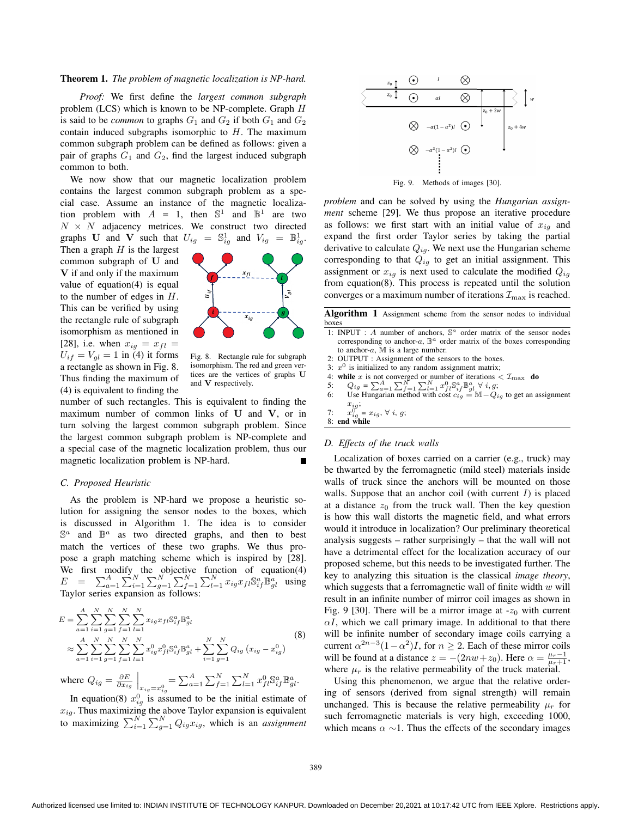## Theorem 1. *The problem of magnetic localization is NP-hard.*

*Proof:* We first define the *largest common subgraph* problem (LCS) which is known to be NP-complete. Graph H is said to be *common* to graphs  $G_1$  and  $G_2$  if both  $G_1$  and  $G_2$ contain induced subgraphs isomorphic to  $H$ . The maximum common subgraph problem can be defined as follows: given a pair of graphs  $G_1$  and  $G_2$ , find the largest induced subgraph common to both.

We now show that our magnetic localization problem contains the largest common subgraph problem as a special case. Assume an instance of the magnetic localization problem with  $A = 1$ , then  $\mathbb{S}^1$  and  $\mathbb{B}^1$  are two  $N \times N$  adjacency metrices. We construct two directed graphs **U** and **V** such that  $U_{ig} = \mathbb{S}^1_{ig}$  and  $V_{ig} = \mathbb{B}^1_{ig}$ .<br>Then a graph H is the largest i ࢌ ࢌࢁ $x_{fl}$  $x_{lg}$ and **V** respectively. Then a graph  $H$  is the largest common subgraph of **U** and **V** if and only if the maximum value of equation(4) is equal to the number of edges in H. This can be verified by using the rectangle rule of subgraph isomorphism as mentioned in [28], i.e. when  $x_{ig} = x_{fl} =$  $U_{if} = V_{gl} = 1$  in (4) it forms a rectangle as shown in Fig. 8. Thus finding the maximum of (4) is equivalent to finding the



Fig. 8. Rectangle rule for subgraph isomorphism. The red and green vertices are the vertices of graphs **U**

number of such rectangles. This is equivalent to finding the maximum number of common links of **U** and **V**, or in turn solving the largest common subgraph problem. Since the largest common subgraph problem is NP-complete and a special case of the magnetic localization problem, thus our magnetic localization problem is NP-hard.

#### *C. Proposed Heuristic*

As the problem is NP-hard we propose a heuristic solution for assigning the sensor nodes to the boxes, which is discussed in Algorithm 1. The idea is to consider  $\mathbb{S}^a$  and  $\mathbb{B}^a$  as two directed graphs, and then to best match the vertices of these two graphs. We thus propose a graph matching scheme which is inspired by [28]. We first modify the objective function of equation(4)  $E = \sum_{a=1}^{A} \sum_{i=1}^{N} \sum_{g=1}^{N} \sum_{f=1}^{N} \sum_{l=1}^{N} x_{ig} x_{fl} \mathbb{S}_{if}^{a} \mathbb{B}_{gl}^{a}$  using<br>Taylor series expansion as follows: Taylor series expansion as follows:

$$
E = \sum_{a=1}^{A} \sum_{i=1}^{N} \sum_{g=1}^{N} \sum_{f=1}^{N} \sum_{l=1}^{N} x_{ig} x_{fl} \mathbb{B}_{gl}^{a}
$$
  

$$
\approx \sum_{a=1}^{A} \sum_{i=1}^{N} \sum_{g=1}^{N} \sum_{f=1}^{N} \sum_{l=1}^{N} x_{ig}^{0} x_{fl}^{0} \mathbb{B}_{gl}^{a} + \sum_{i=1}^{N} \sum_{g=1}^{N} Q_{ig} (x_{ig} - x_{ig}^{0})
$$
(8)

where  $Q_{ig} = \frac{\partial E}{\partial x_{ig}}$  $\Big|_{x_{ig}=x_{ig}^0} = \sum_{a=1}^A \sum_{f=1}^N \sum_{l=1}^N x_{fl}^0 \mathbb{S}_{if}^a \mathbb{B}_{gl}^a.$ 

In equation(8)  $x_{ig}^{0}$  is assumed to be the initial estimate of<br>Thus maximizing the above Taylor expansion is equivalent  $x_{ig}$ . Thus maximizing the above Taylor expansion is equivalent<br>to maximizing  $\sum_{i=1}^{N} \sum_{g=1}^{N} Q_{ig} x_{ig}$ , which is an *assignment* 



Fig. 9. Methods of images [30].

*problem* and can be solved by using the *Hungarian assignment* scheme [29]. We thus propose an iterative procedure as follows: we first start with an initial value of  $x_{iq}$  and expand the first order Taylor series by taking the partial derivative to calculate  $Q_{ig}$ . We next use the Hungarian scheme corresponding to that  $Q_{ig}$  to get an initial assignment. This assignment or  $x_{ig}$  is next used to calculate the modified  $Q_{ig}$ from equation(8). This process is repeated until the solution converges or a maximum number of iterations  $\mathcal{I}_{\text{max}}$  is reached.

Algorithm 1 Assignment scheme from the sensor nodes to individual boxes

| 1: INPUT : A number of anchors, $\mathbb{S}^a$ order matrix of the sensor nodes                                                                                                                                          |
|--------------------------------------------------------------------------------------------------------------------------------------------------------------------------------------------------------------------------|
| corresponding to anchor-a, $\mathbb{B}^a$ order matrix of the boxes corresponding                                                                                                                                        |
| to anchor- $a$ , M is a large number.                                                                                                                                                                                    |
| 2: OUTPUT : Assignment of the sensors to the boxes.                                                                                                                                                                      |
| 3: $x^0$ is initialized to any random assignment matrix;                                                                                                                                                                 |
| 4: while x is not converged or number of iterations $\langle \mathcal{I}_{\text{max}} \rangle$ do                                                                                                                        |
| 5: $Q_{ig} = \sum_{a=1}^{A} \sum_{f=1}^{N} \sum_{l=1}^{N} x_{fl}^{0} \mathbb{S}_{if}^{a} \mathbb{B}_{gl}^{a} \ \forall \ i, g;$<br>6: Use Hungarian method with cost $c_{ig} = \mathbb{M} - Q_{ig}$ to get an assignment |
|                                                                                                                                                                                                                          |
| $x_{ig};$<br>7. $x_0^0 = x$ . $\forall i, \alpha$ .                                                                                                                                                                      |
|                                                                                                                                                                                                                          |

7: 
$$
x_{ig}^{0} = x_{ig}, \forall i, g;
$$
 8: end while

## *D. Effects of the truck walls*

Localization of boxes carried on a carrier (e.g., truck) may be thwarted by the ferromagnetic (mild steel) materials inside walls of truck since the anchors will be mounted on those walls. Suppose that an anchor coil (with current  $I$ ) is placed at a distance  $z_0$  from the truck wall. Then the key question is how this wall distorts the magnetic field, and what errors would it introduce in localization? Our preliminary theoretical analysis suggests – rather surprisingly – that the wall will not have a detrimental effect for the localization accuracy of our proposed scheme, but this needs to be investigated further. The key to analyzing this situation is the classical *image theory*, which suggests that a ferromagnetic wall of finite width  $w$  will result in an infinite number of mirror coil images as shown in Fig. 9 [30]. There will be a mirror image at  $-z_0$  with current  $\alpha I$ , which we call primary image. In additional to that there will be infinite number of secondary image coils carrying a current  $\alpha^{2n-3}(1-\alpha^2)I$ , for  $n \ge 2$ . Each of these mirror coils will be found at a distance  $z = -(2nw+z_0)$ . Here  $\alpha = \frac{\mu_r-1}{\mu_r+1}$ , where  $\mu_r$  is the relative permeability of the truck material.

Using this phenomenon, we argue that the relative ordering of sensors (derived from signal strength) will remain unchanged. This is because the relative permeability  $\mu_r$  for such ferromagnetic materials is very high, exceeding 1000, which means  $\alpha \sim 1$ . Thus the effects of the secondary images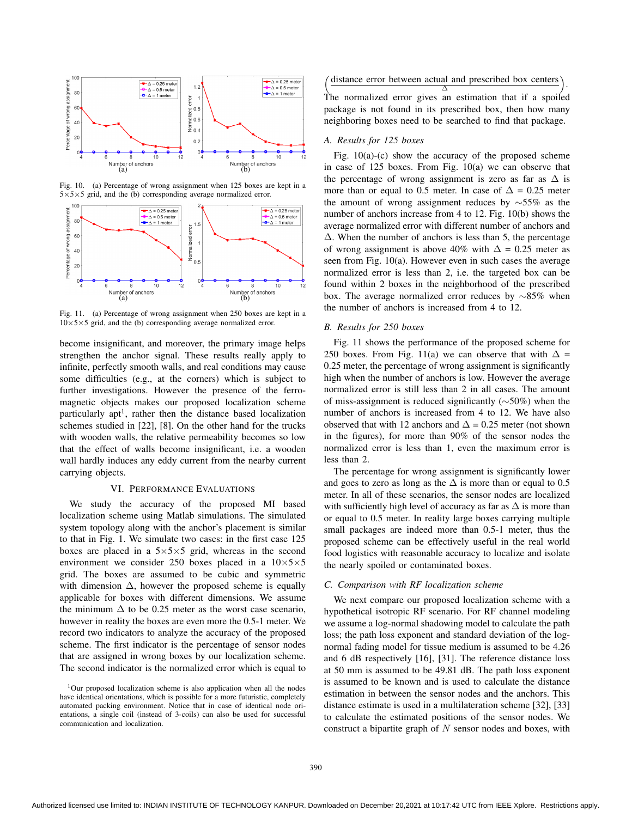

Fig. 10. (a) Percentage of wrong assignment when 125 boxes are kept in a  $5 \times 5 \times 5$  grid, and the (b) corresponding average normalized error.



Fig. 11. (a) Percentage of wrong assignment when 250 boxes are kept in a  $10\times5\times5$  grid, and the (b) corresponding average normalized error.

become insignificant, and moreover, the primary image helps strengthen the anchor signal. These results really apply to infinite, perfectly smooth walls, and real conditions may cause some difficulties (e.g., at the corners) which is subject to further investigations. However the presence of the ferromagnetic objects makes our proposed localization scheme particularly  $apt<sup>1</sup>$ , rather then the distance based localization schemes studied in [22], [8]. On the other hand for the trucks with wooden walls, the relative permeability becomes so low that the effect of walls become insignificant, i.e. a wooden wall hardly induces any eddy current from the nearby current carrying objects.

## VI. PERFORMANCE EVALUATIONS

We study the accuracy of the proposed MI based localization scheme using Matlab simulations. The simulated system topology along with the anchor's placement is similar to that in Fig. 1. We simulate two cases: in the first case 125 boxes are placed in a  $5 \times 5 \times 5$  grid, whereas in the second environment we consider 250 boxes placed in a  $10\times5\times5$ grid. The boxes are assumed to be cubic and symmetric with dimension  $\Delta$ , however the proposed scheme is equally applicable for boxes with different dimensions. We assume the minimum  $\Delta$  to be 0.25 meter as the worst case scenario, however in reality the boxes are even more the 0.5-1 meter. We record two indicators to analyze the accuracy of the proposed scheme. The first indicator is the percentage of sensor nodes that are assigned in wrong boxes by our localization scheme. The second indicator is the normalized error which is equal to

# $\textcircled{distance error between actual and prescribed box centers}\textcircled{cases}$

.

Δ The normalized error gives an estimation that if a spoiled package is not found in its prescribed box, then how many neighboring boxes need to be searched to find that package.

## *A. Results for 125 boxes*

Fig.  $10(a)-(c)$  show the accuracy of the proposed scheme in case of 125 boxes. From Fig. 10(a) we can observe that the percentage of wrong assignment is zero as far as  $\Delta$  is more than or equal to 0.5 meter. In case of  $\Delta = 0.25$  meter the amount of wrong assignment reduces by ∼55% as the number of anchors increase from 4 to 12. Fig. 10(b) shows the average normalized error with different number of anchors and  $\Delta$ . When the number of anchors is less than 5, the percentage of wrong assignment is above 40% with  $\Delta = 0.25$  meter as seen from Fig. 10(a). However even in such cases the average normalized error is less than 2, i.e. the targeted box can be found within 2 boxes in the neighborhood of the prescribed box. The average normalized error reduces by ∼85% when the number of anchors is increased from 4 to 12.

#### *B. Results for 250 boxes*

Fig. 11 shows the performance of the proposed scheme for 250 boxes. From Fig. 11(a) we can observe that with  $\Delta =$ 0.25 meter, the percentage of wrong assignment is significantly high when the number of anchors is low. However the average normalized error is still less than 2 in all cases. The amount of miss-assignment is reduced significantly (∼50%) when the number of anchors is increased from 4 to 12. We have also observed that with 12 anchors and  $\Delta = 0.25$  meter (not shown in the figures), for more than 90% of the sensor nodes the normalized error is less than 1, even the maximum error is less than 2.

The percentage for wrong assignment is significantly lower and goes to zero as long as the  $\Delta$  is more than or equal to 0.5 meter. In all of these scenarios, the sensor nodes are localized with sufficiently high level of accuracy as far as  $\Delta$  is more than or equal to 0.5 meter. In reality large boxes carrying multiple small packages are indeed more than 0.5-1 meter, thus the proposed scheme can be effectively useful in the real world food logistics with reasonable accuracy to localize and isolate the nearly spoiled or contaminated boxes.

#### *C. Comparison with RF localization scheme*

We next compare our proposed localization scheme with a hypothetical isotropic RF scenario. For RF channel modeling we assume a log-normal shadowing model to calculate the path loss; the path loss exponent and standard deviation of the lognormal fading model for tissue medium is assumed to be 4.26 and 6 dB respectively [16], [31]. The reference distance loss at 50 mm is assumed to be 49.81 dB. The path loss exponent is assumed to be known and is used to calculate the distance estimation in between the sensor nodes and the anchors. This distance estimate is used in a multilateration scheme [32], [33] to calculate the estimated positions of the sensor nodes. We construct a bipartite graph of  $N$  sensor nodes and boxes, with

<sup>&</sup>lt;sup>1</sup>Our proposed localization scheme is also application when all the nodes have identical orientations, which is possible for a more futuristic, completely automated packing environment. Notice that in case of identical node orientations, a single coil (instead of 3-coils) can also be used for successful communication and localization.